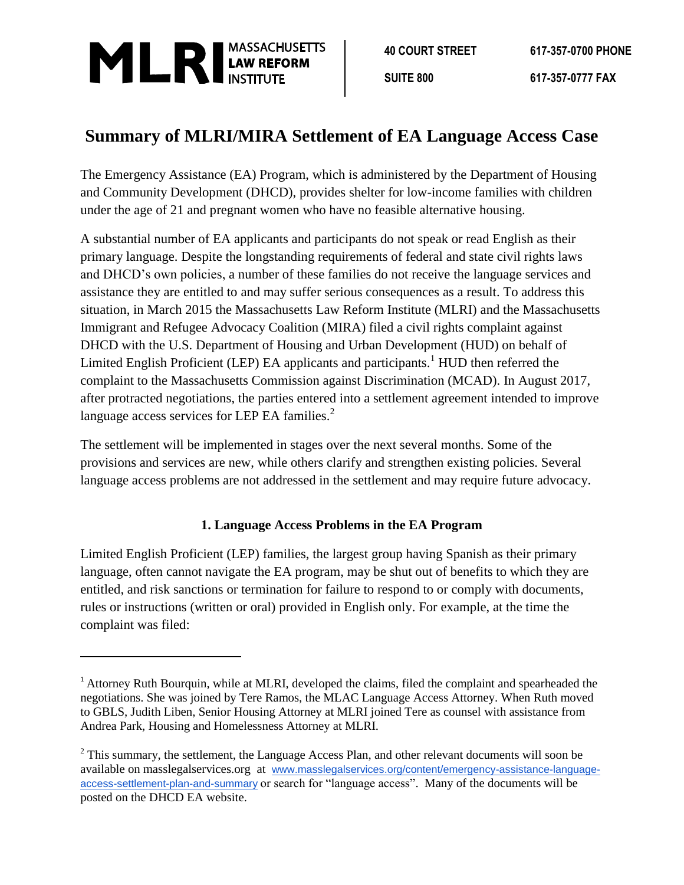

 $\overline{a}$ 

**40 COURT STREET 617-357-0700 PHONE**

**SUITE 800 617-357-0777 FAX**

## **Summary of MLRI/MIRA Settlement of EA Language Access Case**

The Emergency Assistance (EA) Program, which is administered by the Department of Housing and Community Development (DHCD), provides shelter for low-income families with children under the age of 21 and pregnant women who have no feasible alternative housing.

A substantial number of EA applicants and participants do not speak or read English as their primary language. Despite the longstanding requirements of federal and state civil rights laws and DHCD's own policies, a number of these families do not receive the language services and assistance they are entitled to and may suffer serious consequences as a result. To address this situation, in March 2015 the Massachusetts Law Reform Institute (MLRI) and the Massachusetts Immigrant and Refugee Advocacy Coalition (MIRA) filed a civil rights complaint against DHCD with the U.S. Department of Housing and Urban Development (HUD) on behalf of Limited English Proficient (LEP) EA applicants and participants.<sup>1</sup> HUD then referred the complaint to the Massachusetts Commission against Discrimination (MCAD). In August 2017, after protracted negotiations, the parties entered into a settlement agreement intended to improve language access services for LEP EA families.<sup>2</sup>

The settlement will be implemented in stages over the next several months. Some of the provisions and services are new, while others clarify and strengthen existing policies. Several language access problems are not addressed in the settlement and may require future advocacy.

## **1. Language Access Problems in the EA Program**

Limited English Proficient (LEP) families, the largest group having Spanish as their primary language, often cannot navigate the EA program, may be shut out of benefits to which they are entitled, and risk sanctions or termination for failure to respond to or comply with documents, rules or instructions (written or oral) provided in English only. For example, at the time the complaint was filed:

<sup>&</sup>lt;sup>1</sup> Attorney Ruth Bourquin, while at MLRI, developed the claims, filed the complaint and spearheaded the negotiations. She was joined by Tere Ramos, the MLAC Language Access Attorney. When Ruth moved to GBLS, Judith Liben, Senior Housing Attorney at MLRI joined Tere as counsel with assistance from Andrea Park, Housing and Homelessness Attorney at MLRI.

 $2$  This summary, the settlement, the Language Access Plan, and other relevant documents will soon be available on masslegalservices.org at [www.masslegalservices.org/content/emergency-assistance-language](http://www.masslegalservices.org/content/emergency-assistance-language-access-settlement-plan-and-summary)[access-settlement-plan-and-summary](http://www.masslegalservices.org/content/emergency-assistance-language-access-settlement-plan-and-summary) or search for "language access". Many of the documents will be posted on the DHCD EA website.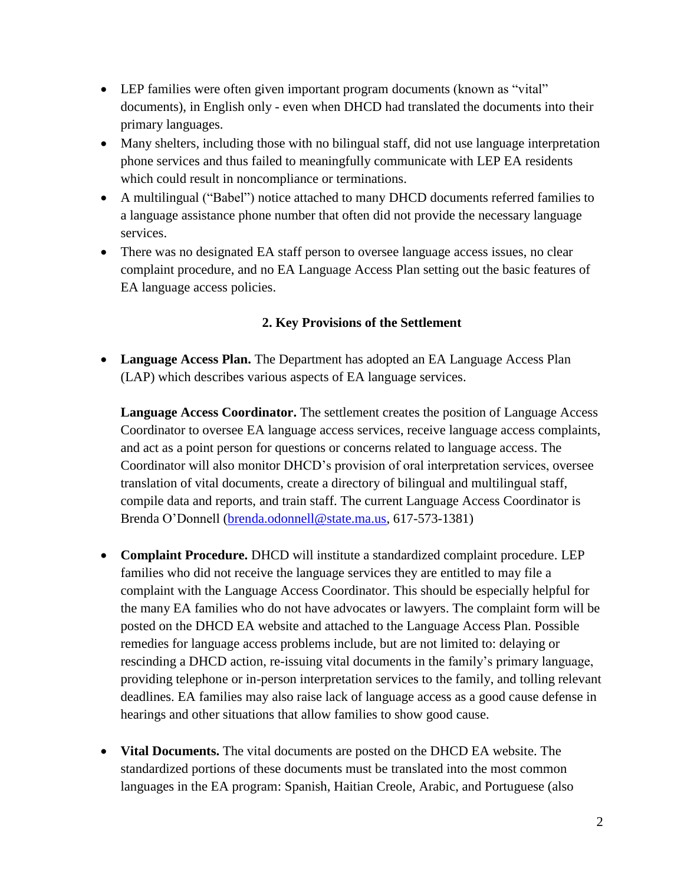- LEP families were often given important program documents (known as "vital" documents), in English only - even when DHCD had translated the documents into their primary languages.
- Many shelters, including those with no bilingual staff, did not use language interpretation phone services and thus failed to meaningfully communicate with LEP EA residents which could result in noncompliance or terminations.
- A multilingual ("Babel") notice attached to many DHCD documents referred families to a language assistance phone number that often did not provide the necessary language services.
- There was no designated EA staff person to oversee language access issues, no clear complaint procedure, and no EA Language Access Plan setting out the basic features of EA language access policies.

## **2. Key Provisions of the Settlement**

 **Language Access Plan.** The Department has adopted an EA Language Access Plan (LAP) which describes various aspects of EA language services.

**Language Access Coordinator.** The settlement creates the position of Language Access Coordinator to oversee EA language access services, receive language access complaints, and act as a point person for questions or concerns related to language access. The Coordinator will also monitor DHCD's provision of oral interpretation services, oversee translation of vital documents, create a directory of bilingual and multilingual staff, compile data and reports, and train staff. The current Language Access Coordinator is Brenda O'Donnell [\(brenda.odonnell@state.ma.us,](mailto:brenda.odonnell@state.ma.us) 617-573-1381)

- **Complaint Procedure.** DHCD will institute a standardized complaint procedure. LEP families who did not receive the language services they are entitled to may file a complaint with the Language Access Coordinator. This should be especially helpful for the many EA families who do not have advocates or lawyers. The complaint form will be posted on the DHCD EA website and attached to the Language Access Plan. Possible remedies for language access problems include, but are not limited to: delaying or rescinding a DHCD action, re-issuing vital documents in the family's primary language, providing telephone or in-person interpretation services to the family, and tolling relevant deadlines. EA families may also raise lack of language access as a good cause defense in hearings and other situations that allow families to show good cause.
- **Vital Documents.** The vital documents are posted on the DHCD EA website. The standardized portions of these documents must be translated into the most common languages in the EA program: Spanish, Haitian Creole, Arabic, and Portuguese (also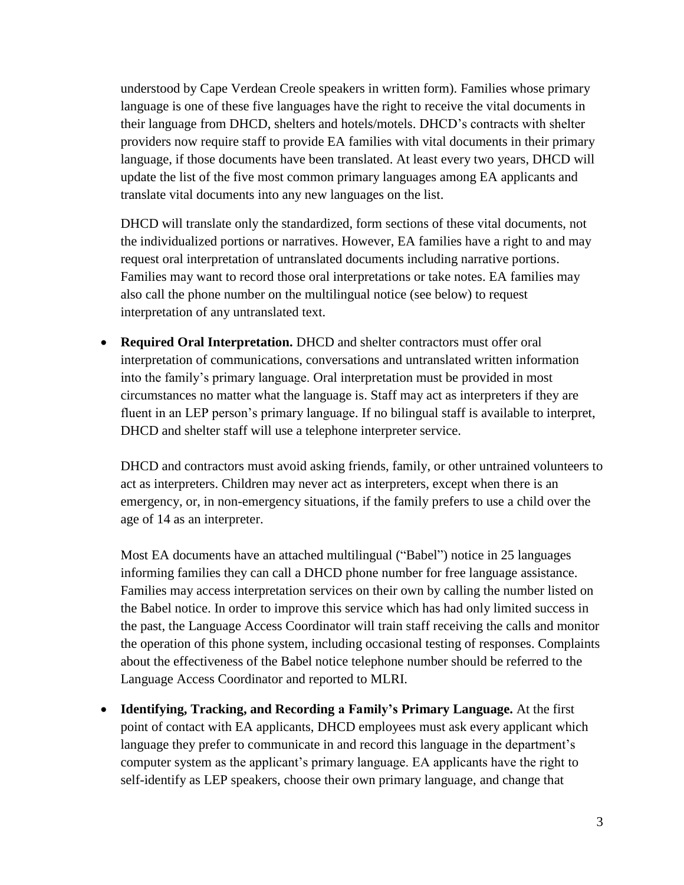understood by Cape Verdean Creole speakers in written form). Families whose primary language is one of these five languages have the right to receive the vital documents in their language from DHCD, shelters and hotels/motels. DHCD's contracts with shelter providers now require staff to provide EA families with vital documents in their primary language, if those documents have been translated. At least every two years, DHCD will update the list of the five most common primary languages among EA applicants and translate vital documents into any new languages on the list.

DHCD will translate only the standardized, form sections of these vital documents, not the individualized portions or narratives. However, EA families have a right to and may request oral interpretation of untranslated documents including narrative portions. Families may want to record those oral interpretations or take notes. EA families may also call the phone number on the multilingual notice (see below) to request interpretation of any untranslated text.

• **Required Oral Interpretation.** DHCD and shelter contractors must offer oral interpretation of communications, conversations and untranslated written information into the family's primary language. Oral interpretation must be provided in most circumstances no matter what the language is. Staff may act as interpreters if they are fluent in an LEP person's primary language. If no bilingual staff is available to interpret, DHCD and shelter staff will use a telephone interpreter service.

DHCD and contractors must avoid asking friends, family, or other untrained volunteers to act as interpreters. Children may never act as interpreters, except when there is an emergency, or, in non-emergency situations, if the family prefers to use a child over the age of 14 as an interpreter.

Most EA documents have an attached multilingual ("Babel") notice in 25 languages informing families they can call a DHCD phone number for free language assistance. Families may access interpretation services on their own by calling the number listed on the Babel notice. In order to improve this service which has had only limited success in the past, the Language Access Coordinator will train staff receiving the calls and monitor the operation of this phone system, including occasional testing of responses. Complaints about the effectiveness of the Babel notice telephone number should be referred to the Language Access Coordinator and reported to MLRI.

 **Identifying, Tracking, and Recording a Family's Primary Language.** At the first point of contact with EA applicants, DHCD employees must ask every applicant which language they prefer to communicate in and record this language in the department's computer system as the applicant's primary language. EA applicants have the right to self-identify as LEP speakers, choose their own primary language, and change that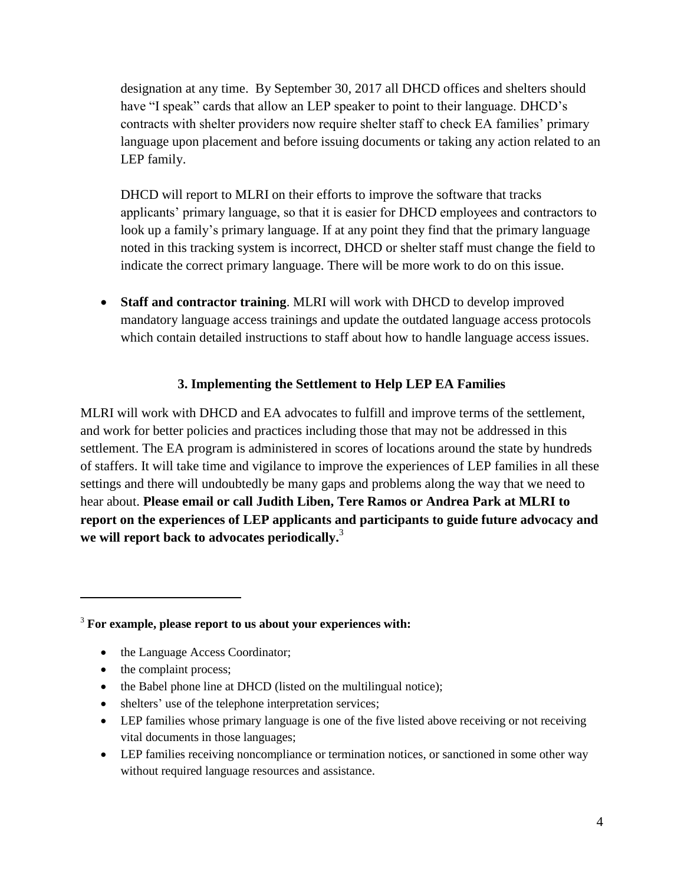designation at any time. By September 30, 2017 all DHCD offices and shelters should have "I speak" cards that allow an LEP speaker to point to their language. DHCD's contracts with shelter providers now require shelter staff to check EA families' primary language upon placement and before issuing documents or taking any action related to an LEP family.

DHCD will report to MLRI on their efforts to improve the software that tracks applicants' primary language, so that it is easier for DHCD employees and contractors to look up a family's primary language. If at any point they find that the primary language noted in this tracking system is incorrect, DHCD or shelter staff must change the field to indicate the correct primary language. There will be more work to do on this issue.

 **Staff and contractor training**. MLRI will work with DHCD to develop improved mandatory language access trainings and update the outdated language access protocols which contain detailed instructions to staff about how to handle language access issues.

## **3. Implementing the Settlement to Help LEP EA Families**

MLRI will work with DHCD and EA advocates to fulfill and improve terms of the settlement, and work for better policies and practices including those that may not be addressed in this settlement. The EA program is administered in scores of locations around the state by hundreds of staffers. It will take time and vigilance to improve the experiences of LEP families in all these settings and there will undoubtedly be many gaps and problems along the way that we need to hear about. **Please email or call Judith Liben, Tere Ramos or Andrea Park at MLRI to report on the experiences of LEP applicants and participants to guide future advocacy and we will report back to advocates periodically.** 3

- the Language Access Coordinator;
- the complaint process;

 $\overline{\phantom{a}}$ 

- the Babel phone line at DHCD (listed on the multilingual notice);
- shelters' use of the telephone interpretation services;
- LEP families whose primary language is one of the five listed above receiving or not receiving vital documents in those languages;
- LEP families receiving noncompliance or termination notices, or sanctioned in some other way without required language resources and assistance.

<sup>3</sup> **For example, please report to us about your experiences with:**